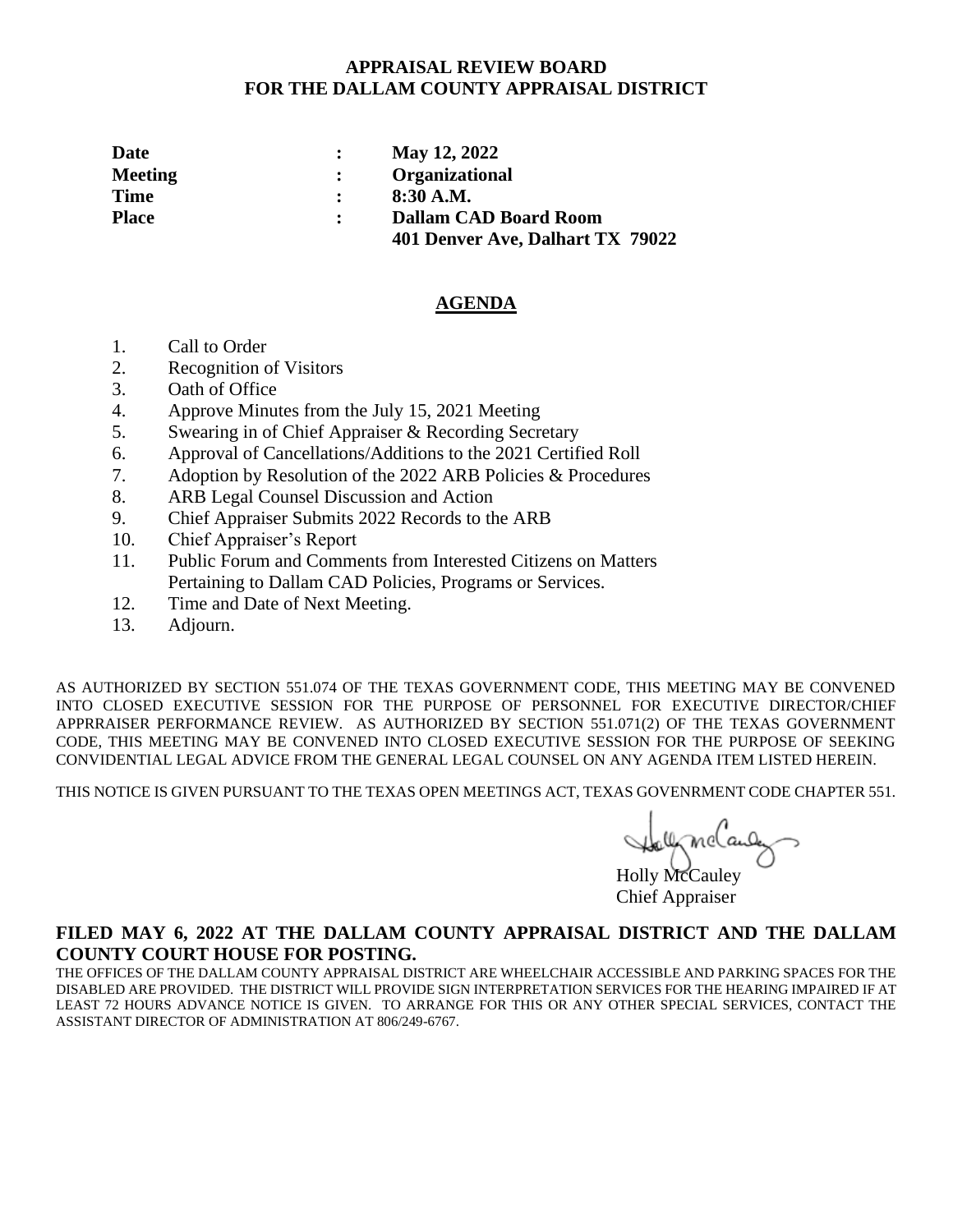### **APPRAISAL REVIEW BOARD FOR THE DALLAM COUNTY APPRAISAL DISTRICT**

| Date           | May 12, 2022                     |
|----------------|----------------------------------|
| <b>Meeting</b> | <b>Organizational</b>            |
| <b>Time</b>    | $8:30$ A.M.                      |
| <b>Place</b>   | <b>Dallam CAD Board Room</b>     |
|                | 401 Denver Ave, Dalhart TX 79022 |

#### **AGENDA**

- 1. Call to Order
- 2. Recognition of Visitors
- 3. Oath of Office
- 4. Approve Minutes from the July 15, 2021 Meeting
- 5. Swearing in of Chief Appraiser & Recording Secretary
- 6. Approval of Cancellations/Additions to the 2021 Certified Roll
- 7. Adoption by Resolution of the 2022 ARB Policies & Procedures
- 8. ARB Legal Counsel Discussion and Action
- 9. Chief Appraiser Submits 2022 Records to the ARB
- 10. Chief Appraiser's Report
- 11. Public Forum and Comments from Interested Citizens on Matters Pertaining to Dallam CAD Policies, Programs or Services.
- 12. Time and Date of Next Meeting.
- 13. Adjourn.

AS AUTHORIZED BY SECTION 551.074 OF THE TEXAS GOVERNMENT CODE, THIS MEETING MAY BE CONVENED INTO CLOSED EXECUTIVE SESSION FOR THE PURPOSE OF PERSONNEL FOR EXECUTIVE DIRECTOR/CHIEF APPRRAISER PERFORMANCE REVIEW. AS AUTHORIZED BY SECTION 551.071(2) OF THE TEXAS GOVERNMENT CODE, THIS MEETING MAY BE CONVENED INTO CLOSED EXECUTIVE SESSION FOR THE PURPOSE OF SEEKING CONVIDENTIAL LEGAL ADVICE FROM THE GENERAL LEGAL COUNSEL ON ANY AGENDA ITEM LISTED HEREIN.

THIS NOTICE IS GIVEN PURSUANT TO THE TEXAS OPEN MEETINGS ACT, TEXAS GOVENRMENT CODE CHAPTER 551.

Holly McCauley<br>Holly McCauley

Chief Appraiser

### **FILED MAY 6, 2022 AT THE DALLAM COUNTY APPRAISAL DISTRICT AND THE DALLAM COUNTY COURT HOUSE FOR POSTING.**

THE OFFICES OF THE DALLAM COUNTY APPRAISAL DISTRICT ARE WHEELCHAIR ACCESSIBLE AND PARKING SPACES FOR THE DISABLED ARE PROVIDED. THE DISTRICT WILL PROVIDE SIGN INTERPRETATION SERVICES FOR THE HEARING IMPAIRED IF AT LEAST 72 HOURS ADVANCE NOTICE IS GIVEN. TO ARRANGE FOR THIS OR ANY OTHER SPECIAL SERVICES, CONTACT THE ASSISTANT DIRECTOR OF ADMINISTRATION AT 806/249-6767.